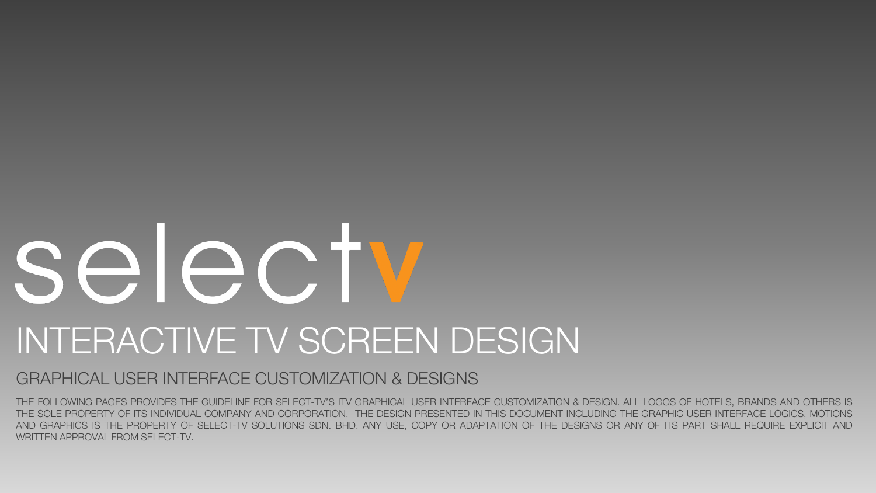# selecty INTERACTIVE TV SCREEN DESIGN

#### GRAPHICAL USER INTERFACE CUSTOMIZATION & DESIGNS

THE FOLLOWING PAGES PROVIDES THE GUIDELINE FOR SELECT-TV'S ITV GRAPHICAL USER INTERFACE CUSTOMIZATION & DESIGN. ALL LOGOS OF HOTELS, BRANDS AND OTHERS IS THE SOLE PROPERTY OF ITS INDIVIDUAL COMPANY AND CORPORATION. THE DESIGN PRESENTED IN THIS DOCUMENT INCLUDING THE GRAPHIC USER INTERFACE LOGICS, MOTIONS AND GRAPHICS IS THE PROPERTY OF SELECT-TV SOLUTIONS SDN. BHD. ANY USE, COPY OR ADAPTATION OF THE DESIGNS OR ANY OF ITS PART SHALL REQUIRE EXPLICIT AND WRITTEN APPROVAL FROM SELECT-TV.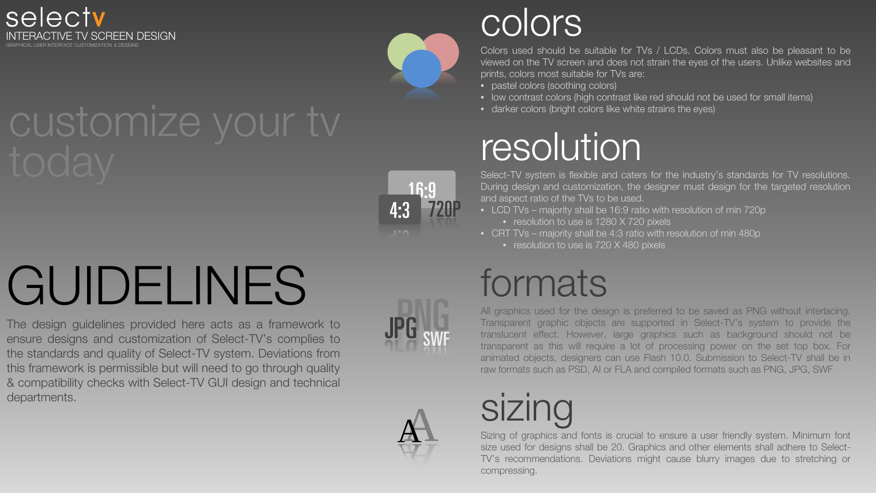





**JPG** SWF

swf

# **GUIDELINES**

The design guidelines provided here acts as a framework to ensure designs and customization of Select-TV's complies to the standards and quality of Select-TV system. Deviations from this framework is permissible but will need to go through quality & compatibility checks with Select-TV GUI design and technical departments.

### colors

Colors used should be suitable for TVs / LCDs. Colors must also be pleasant to be viewed on the TV screen and does not strain the eyes of the users. Unlike websites and prints, colors most suitable for TVs are:

- pastel colors (soothing colors)
- low contrast colors (high contrast like red should not be used for small items)
- darker colors (bright colors like white strains the eyes)

### resolution

Select-TV system is flexible and caters for the industry's standards for TV resolutions. During design and customization, the designer must design for the targeted resolution and aspect ratio of the TVs to be used.

- - resolution to use is 1280 X 720 pixels
- CRT TVs majority shall be 4:3 ratio with resolution of min 480p • resolution to use is 720 X 480 pixels

### formats

All graphics used for the design is preferred to be saved as PNG without interlacing. Transparent graphic objects are supported in Select-TV's system to provide the translucent effect. However, large graphics such as background should not be transparent as this will require a lot of processing power on the set top box. For animated objects, designers can use Flash 10.0. Submission to Select-TV shall be in raw formats such as PSD, AI or FLA and compiled formats such as PNG, JPG, SWF



### sizing

Sizing of graphics and fonts is crucial to ensure a user friendly system. Minimum font size used for designs shall be 20. Graphics and other elements shall adhere to Select-TV's recommendations. Deviations might cause blurry images due to stretching or compressing.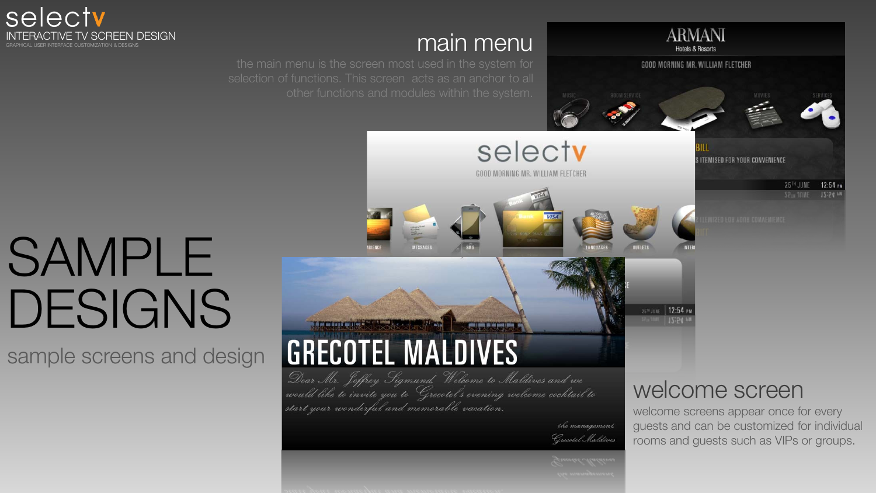

#### main menu



25TH JUNE | 12:54 PM

# SAMPLE DESIGNS

sample screens and design

#### **CONTROL GRECOTEL MALDIVES** Dear Mr. Jeffrey Sigmund, Welcome to Maldives and we

would like to invite you to Grecotel's evening welcome cocktail to start your wonderful and memorable vacation.

> the management, Grecotel Maldives

#### welcome screen

welcome screens appear once for every guests and can be customized for individual rooms and guests such as VIPs or groups.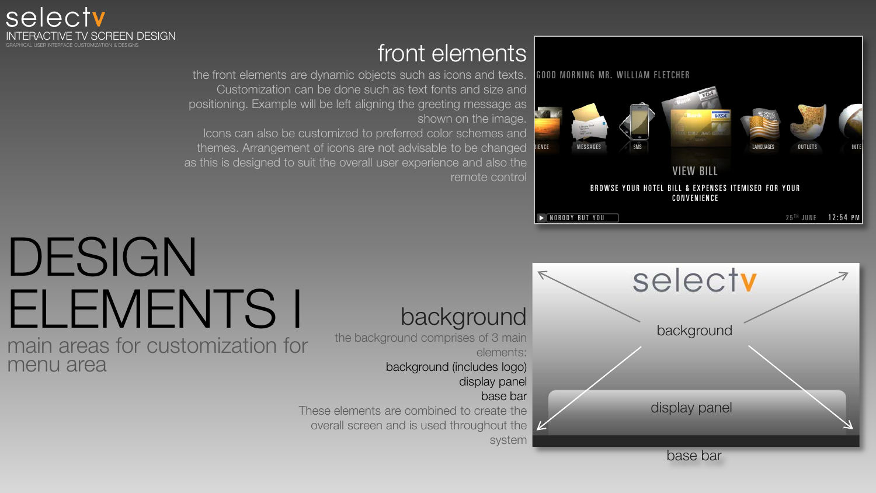

#### front elements

the front elements are dynamic objects such as icons and texts. Customization can be done such as text fonts and size and positioning. Example will be left aligning the greeting message as shown on the image.

Icons can also be customized to preferred color schemes and themes. Arrangement of icons are not advisable to be changed as this is designed to suit the overall user experience and also the remote control



### DESIGN ELEMENTS I

main areas for customization for menu area

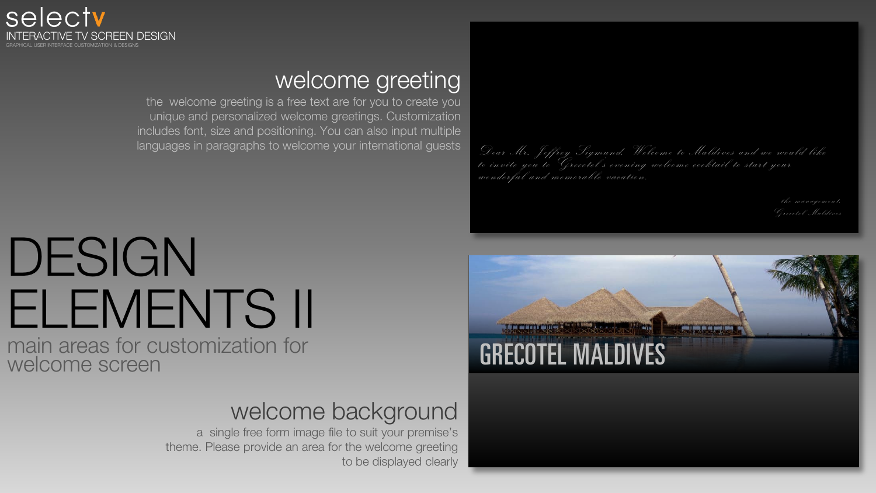

#### welcome greeting

the welcome greeting is a free text are for you to create you unique and personalized welcome greetings. Customization includes font, size and positioning. You can also input multiple languages in paragraphs to welcome your international guests

### DESIGN ELEMENTS II

main areas for customization for welcome screen

#### welcome background

a single free form image file to suit your premise's theme. Please provide an area for the welcome greeting to be displayed clearly Dear Mr. Jeffrey Sigmund, Welcome to Maldives and we would like<br>to invite you to Grecotel's evening welcome cocktail to start your wonderful and memorable vacation.

the management,